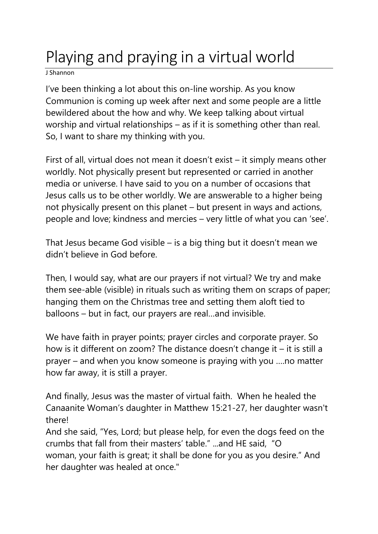## Playing and praying in a virtual world

J Shannon

I've been thinking a lot about this on-line worship. As you know Communion is coming up week after next and some people are a little bewildered about the how and why. We keep talking about virtual worship and virtual relationships – as if it is something other than real. So, I want to share my thinking with you.

First of all, virtual does not mean it doesn't exist – it simply means other worldly. Not physically present but represented or carried in another media or universe. I have said to you on a number of occasions that Jesus calls us to be other worldly. We are answerable to a higher being not physically present on this planet – but present in ways and actions, people and love; kindness and mercies – very little of what you can 'see'.

That Jesus became God visible – is a big thing but it doesn't mean we didn't believe in God before.

Then, I would say, what are our prayers if not virtual? We try and make them see-able (visible) in rituals such as writing them on scraps of paper; hanging them on the Christmas tree and setting them aloft tied to balloons – but in fact, our prayers are real…and invisible.

We have faith in prayer points; prayer circles and corporate prayer. So how is it different on zoom? The distance doesn't change it – it is still a prayer – and when you know someone is praying with you ….no matter how far away, it is still a prayer.

And finally, Jesus was the master of virtual faith. When he healed the Canaanite Woman's daughter in Matthew 15:21-27, her daughter wasn't there!

And she said, "Yes, Lord; but please help, for even the dogs feed on the crumbs that fall from their masters' table." ...and HE said, "O woman, your faith is great; it shall be done for you as you desire." And her daughter was healed at once."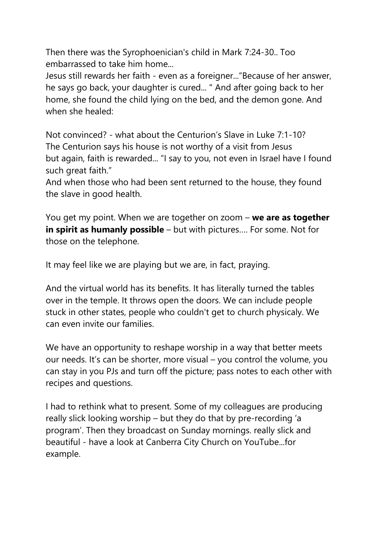Then there was the Syrophoenician's child in Mark 7:24-30.. Too embarrassed to take him home...

Jesus still rewards her faith - even as a foreigner..."Because of her answer, he says go back, your daughter is cured... " And after going back to her home, she found the child lying on the bed, and the demon gone. And when she healed:

Not convinced? - what about the Centurion's Slave in Luke 7:1-10? The Centurion says his house is not worthy of a visit from Jesus but again, faith is rewarded... "I say to you, not even in Israel have I found such great faith."

And when those who had been sent returned to the house, they found the slave in good health.

You get my point. When we are together on zoom – **we are as together in spirit as humanly possible** – but with pictures…. For some. Not for those on the telephone.

It may feel like we are playing but we are, in fact, praying.

And the virtual world has its benefits. It has literally turned the tables over in the temple. It throws open the doors. We can include people stuck in other states, people who couldn't get to church physicaly. We can even invite our families.

We have an opportunity to reshape worship in a way that better meets our needs. It's can be shorter, more visual – you control the volume, you can stay in you PJs and turn off the picture; pass notes to each other with recipes and questions.

I had to rethink what to present. Some of my colleagues are producing really slick looking worship – but they do that by pre-recording 'a program'. Then they broadcast on Sunday mornings. really slick and beautiful - have a look at Canberra City Church on YouTube...for example.